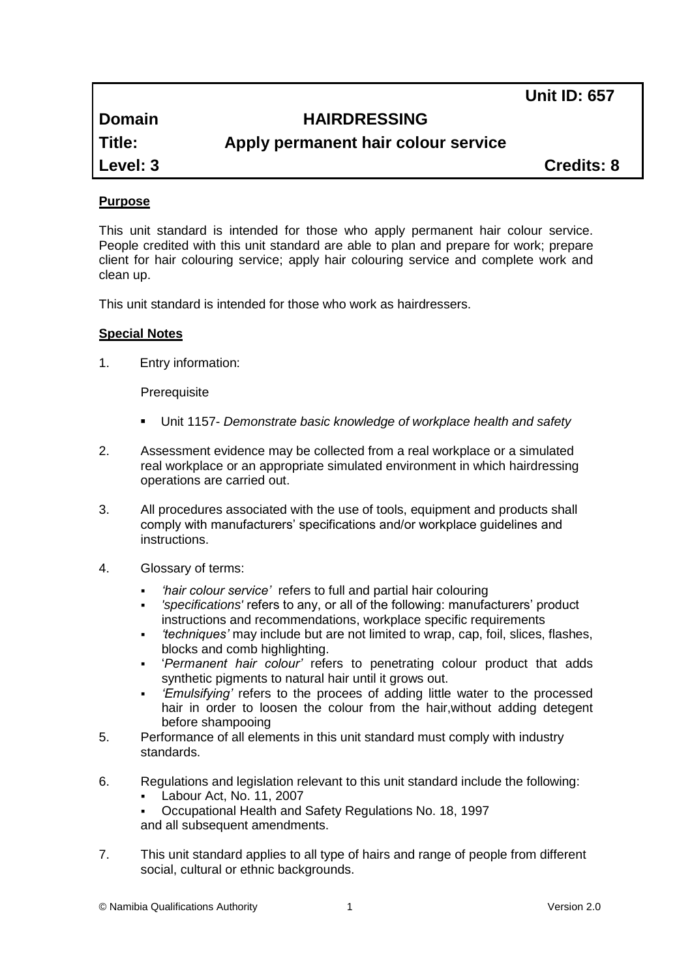**Unit ID: 657**

# **Domain HAIRDRESSING**

**Title: Apply permanent hair colour service**

**Level: 3 Credits: 8**

# **Purpose**

This unit standard is intended for those who apply permanent hair colour service. People credited with this unit standard are able to plan and prepare for work; prepare client for hair colouring service; apply hair colouring service and complete work and clean up.

This unit standard is intended for those who work as hairdressers.

#### **Special Notes**

1. Entry information:

**Prerequisite** 

- Unit 1157- *Demonstrate basic knowledge of workplace health and safety*
- 2. Assessment evidence may be collected from a real workplace or a simulated real workplace or an appropriate simulated environment in which hairdressing operations are carried out.
- 3. All procedures associated with the use of tools, equipment and products shall comply with manufacturers' specifications and/or workplace guidelines and instructions.
- 4. Glossary of terms:
	- *'hair colour service'* refers to full and partial hair colouring
	- *'specifications'* refers to any, or all of the following: manufacturers' product instructions and recommendations, workplace specific requirements
	- *'techniques'* may include but are not limited to wrap, cap, foil, slices, flashes, blocks and comb highlighting.
	- '*Permanent hair colour'* refers to penetrating colour product that adds synthetic pigments to natural hair until it grows out.
	- *'Emulsifying'* refers to the procees of adding little water to the processed hair in order to loosen the colour from the hair,without adding detegent before shampooing
- 5. Performance of all elements in this unit standard must comply with industry standards.
- 6. Regulations and legislation relevant to this unit standard include the following:
	- Labour Act, No. 11, 2007
	- Occupational Health and Safety Regulations No. 18, 1997 and all subsequent amendments.
- 7. This unit standard applies to all type of hairs and range of people from different social, cultural or ethnic backgrounds.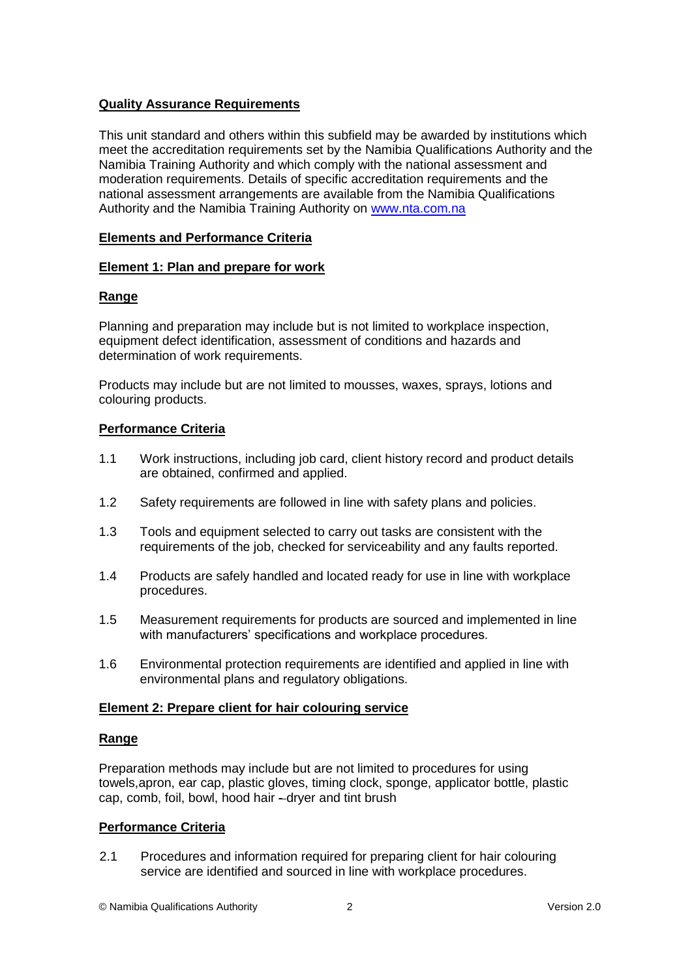## **Quality Assurance Requirements**

This unit standard and others within this subfield may be awarded by institutions which meet the accreditation requirements set by the Namibia Qualifications Authority and the Namibia Training Authority and which comply with the national assessment and moderation requirements. Details of specific accreditation requirements and the national assessment arrangements are available from the Namibia Qualifications Authority and the Namibia Training Authority on [www.nta.com.na](http://www.nta.com.na/)

## **Elements and Performance Criteria**

#### **Element 1: Plan and prepare for work**

# **Range**

Planning and preparation may include but is not limited to workplace inspection, equipment defect identification, assessment of conditions and hazards and determination of work requirements.

Products may include but are not limited to mousses, waxes, sprays, lotions and colouring products.

# **Performance Criteria**

- 1.1 Work instructions, including job card, client history record and product details are obtained, confirmed and applied.
- 1.2 Safety requirements are followed in line with safety plans and policies.
- 1.3 Tools and equipment selected to carry out tasks are consistent with the requirements of the job, checked for serviceability and any faults reported.
- 1.4 Products are safely handled and located ready for use in line with workplace procedures.
- 1.5 Measurement requirements for products are sourced and implemented in line with manufacturers' specifications and workplace procedures.
- 1.6 Environmental protection requirements are identified and applied in line with environmental plans and regulatory obligations.

#### **Element 2: Prepare client for hair colouring service**

#### **Range**

Preparation methods may include but are not limited to procedures for using towels,apron, ear cap, plastic gloves, timing clock, sponge, applicator bottle, plastic cap, comb, foil, bowl, hood hair - dryer and tint brush

#### **Performance Criteria**

2.1 Procedures and information required for preparing client for hair colouring service are identified and sourced in line with workplace procedures.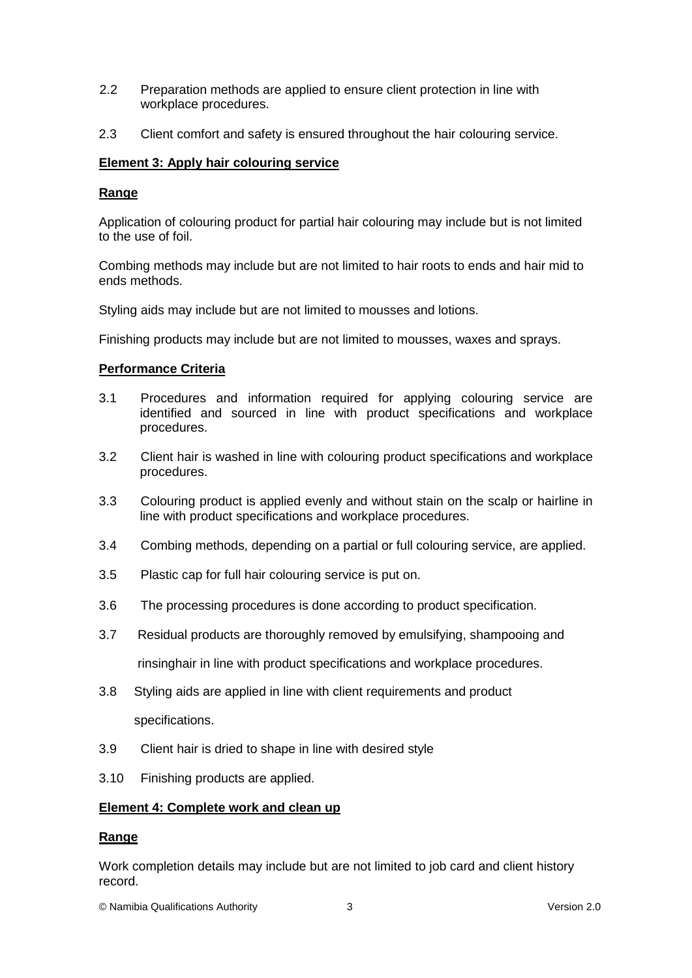- 2.2 Preparation methods are applied to ensure client protection in line with workplace procedures.
- 2.3 Client comfort and safety is ensured throughout the hair colouring service.

#### **Element 3: Apply hair colouring service**

#### **Range**

Application of colouring product for partial hair colouring may include but is not limited to the use of foil.

Combing methods may include but are not limited to hair roots to ends and hair mid to ends methods.

Styling aids may include but are not limited to mousses and lotions.

Finishing products may include but are not limited to mousses, waxes and sprays.

#### **Performance Criteria**

- 3.1 Procedures and information required for applying colouring service are identified and sourced in line with product specifications and workplace procedures.
- 3.2 Client hair is washed in line with colouring product specifications and workplace procedures.
- 3.3 Colouring product is applied evenly and without stain on the scalp or hairline in line with product specifications and workplace procedures.
- 3.4 Combing methods, depending on a partial or full colouring service, are applied.
- 3.5 Plastic cap for full hair colouring service is put on.
- 3.6 The processing procedures is done according to product specification.
- 3.7 Residual products are thoroughly removed by emulsifying, shampooing and rinsinghair in line with product specifications and workplace procedures.
- 3.8 Styling aids are applied in line with client requirements and product specifications.
- 3.9 Client hair is dried to shape in line with desired style
- 3.10 Finishing products are applied.

#### **Element 4: Complete work and clean up**

#### **Range**

Work completion details may include but are not limited to job card and client history record.